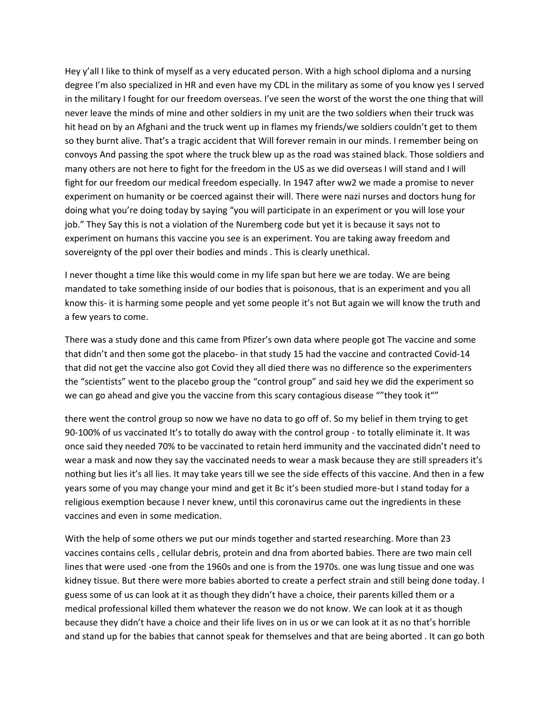Hey y'all I like to think of myself as a very educated person. With a high school diploma and a nursing degree I'm also specialized in HR and even have my CDL in the military as some of you know yes I served in the military I fought for our freedom overseas. I've seen the worst of the worst the one thing that will never leave the minds of mine and other soldiers in my unit are the two soldiers when their truck was hit head on by an Afghani and the truck went up in flames my friends/we soldiers couldn't get to them so they burnt alive. That's a tragic accident that Will forever remain in our minds. I remember being on convoys And passing the spot where the truck blew up as the road was stained black. Those soldiers and many others are not here to fight for the freedom in the US as we did overseas I will stand and I will fight for our freedom our medical freedom especially. In 1947 after ww2 we made a promise to never experiment on humanity or be coerced against their will. There were nazi nurses and doctors hung for doing what you're doing today by saying "you will participate in an experiment or you will lose your job." They Say this is not a violation of the Nuremberg code but yet it is because it says not to experiment on humans this vaccine you see is an experiment. You are taking away freedom and sovereignty of the ppl over their bodies and minds . This is clearly unethical.

I never thought a time like this would come in my life span but here we are today. We are being mandated to take something inside of our bodies that is poisonous, that is an experiment and you all know this- it is harming some people and yet some people it's not But again we will know the truth and a few years to come.

There was a study done and this came from Pfizer's own data where people got The vaccine and some that didn't and then some got the placebo- in that study 15 had the vaccine and contracted Covid-14 that did not get the vaccine also got Covid they all died there was no difference so the experimenters the "scientists" went to the placebo group the "control group" and said hey we did the experiment so we can go ahead and give you the vaccine from this scary contagious disease ""they took it""

there went the control group so now we have no data to go off of. So my belief in them trying to get 90-100% of us vaccinated It's to totally do away with the control group - to totally eliminate it. It was once said they needed 70% to be vaccinated to retain herd immunity and the vaccinated didn't need to wear a mask and now they say the vaccinated needs to wear a mask because they are still spreaders it's nothing but lies it's all lies. It may take years till we see the side effects of this vaccine. And then in a few years some of you may change your mind and get it Bc it's been studied more-but I stand today for a religious exemption because I never knew, until this coronavirus came out the ingredients in these vaccines and even in some medication.

With the help of some others we put our minds together and started researching. More than 23 vaccines contains cells , cellular debris, protein and dna from aborted babies. There are two main cell lines that were used -one from the 1960s and one is from the 1970s. one was lung tissue and one was kidney tissue. But there were more babies aborted to create a perfect strain and still being done today. I guess some of us can look at it as though they didn't have a choice, their parents killed them or a medical professional killed them whatever the reason we do not know. We can look at it as though because they didn't have a choice and their life lives on in us or we can look at it as no that's horrible and stand up for the babies that cannot speak for themselves and that are being aborted . It can go both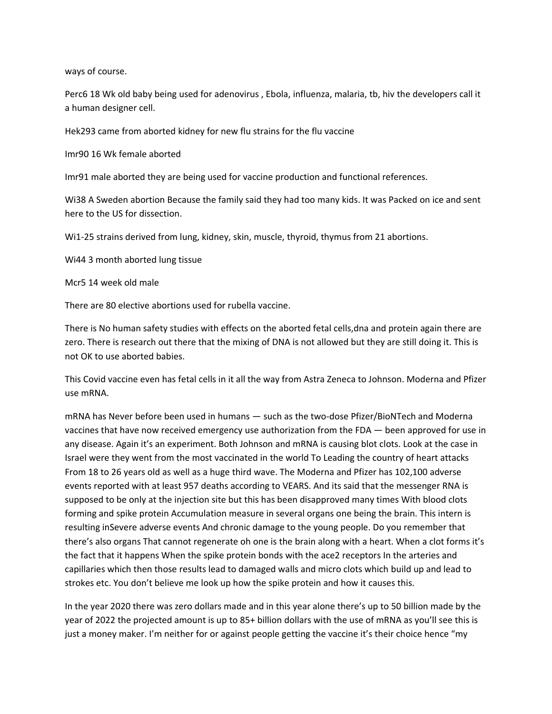ways of course.

Perc6 18 Wk old baby being used for adenovirus , Ebola, influenza, malaria, tb, hiv the developers call it a human designer cell.

Hek293 came from aborted kidney for new flu strains for the flu vaccine

Imr90 16 Wk female aborted

Imr91 male aborted they are being used for vaccine production and functional references.

Wi38 A Sweden abortion Because the family said they had too many kids. It was Packed on ice and sent here to the US for dissection.

Wi1-25 strains derived from lung, kidney, skin, muscle, thyroid, thymus from 21 abortions.

Wi44 3 month aborted lung tissue

Mcr5 14 week old male

There are 80 elective abortions used for rubella vaccine.

There is No human safety studies with effects on the aborted fetal cells,dna and protein again there are zero. There is research out there that the mixing of DNA is not allowed but they are still doing it. This is not OK to use aborted babies.

This Covid vaccine even has fetal cells in it all the way from Astra Zeneca to Johnson. Moderna and Pfizer use mRNA.

mRNA has Never before been used in humans — such as the two-dose Pfizer/BioNTech and Moderna vaccines that have now received emergency use authorization from the FDA — been approved for use in any disease. Again it's an experiment. Both Johnson and mRNA is causing blot clots. Look at the case in Israel were they went from the most vaccinated in the world To Leading the country of heart attacks From 18 to 26 years old as well as a huge third wave. The Moderna and Pfizer has 102,100 adverse events reported with at least 957 deaths according to VEARS. And its said that the messenger RNA is supposed to be only at the injection site but this has been disapproved many times With blood clots forming and spike protein Accumulation measure in several organs one being the brain. This intern is resulting inSevere adverse events And chronic damage to the young people. Do you remember that there's also organs That cannot regenerate oh one is the brain along with a heart. When a clot forms it's the fact that it happens When the spike protein bonds with the ace2 receptors In the arteries and capillaries which then those results lead to damaged walls and micro clots which build up and lead to strokes etc. You don't believe me look up how the spike protein and how it causes this.

In the year 2020 there was zero dollars made and in this year alone there's up to 50 billion made by the year of 2022 the projected amount is up to 85+ billion dollars with the use of mRNA as you'll see this is just a money maker. I'm neither for or against people getting the vaccine it's their choice hence "my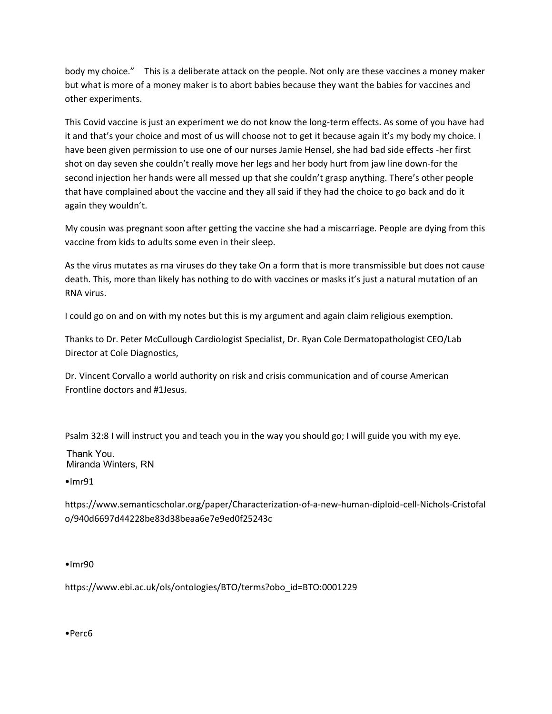body my choice." This is a deliberate attack on the people. Not only are these vaccines a money maker but what is more of a money maker is to abort babies because they want the babies for vaccines and other experiments.

This Covid vaccine is just an experiment we do not know the long-term effects. As some of you have had it and that's your choice and most of us will choose not to get it because again it's my body my choice. I have been given permission to use one of our nurses Jamie Hensel, she had bad side effects -her first shot on day seven she couldn't really move her legs and her body hurt from jaw line down-for the second injection her hands were all messed up that she couldn't grasp anything. There's other people that have complained about the vaccine and they all said if they had the choice to go back and do it again they wouldn't.

My cousin was pregnant soon after getting the vaccine she had a miscarriage. People are dying from this vaccine from kids to adults some even in their sleep.

As the virus mutates as rna viruses do they take On a form that is more transmissible but does not cause death. This, more than likely has nothing to do with vaccines or masks it's just a natural mutation of an RNA virus.

I could go on and on with my notes but this is my argument and again claim religious exemption.

Thanks to Dr. Peter McCullough Cardiologist Specialist, Dr. Ryan Cole Dermatopathologist CEO/Lab Director at Cole Diagnostics,

Dr. Vincent Corvallo a world authority on risk and crisis communication and of course American Frontline doctors and #1Jesus.

Psalm 32:8 I will instruct you and teach you in the way you should go; I will guide you with my eye.

Thank You. Miranda Winters, RN

•Imr91

https://www.semanticscholar.org/paper/Characterization-of-a-new-human-diploid-cell-Nichols-Cristofal o/940d6697d44228be83d38beaa6e7e9ed0f25243c

•Imr90

https://www.ebi.ac.uk/ols/ontologies/BTO/terms?obo\_id=BTO:0001229

•Perc6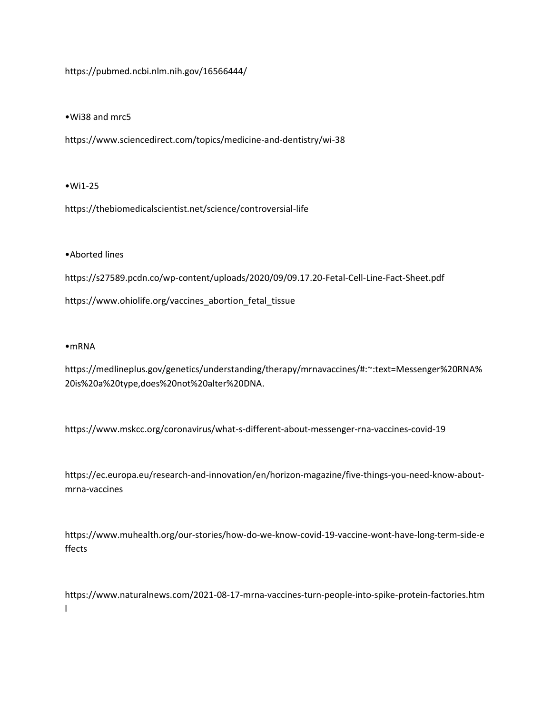https://pubmed.ncbi.nlm.nih.gov/16566444/

•Wi38 and mrc5

https://www.sciencedirect.com/topics/medicine-and-dentistry/wi-38

•Wi1-25

https://thebiomedicalscientist.net/science/controversial-life

•Aborted lines

https://s27589.pcdn.co/wp-content/uploads/2020/09/09.17.20-Fetal-Cell-Line-Fact-Sheet.pdf https://www.ohiolife.org/vaccines\_abortion\_fetal\_tissue

•mRNA

https://medlineplus.gov/genetics/understanding/therapy/mrnavaccines/#:~:text=Messenger%20RNA% 20is%20a%20type,does%20not%20alter%20DNA.

https://www.mskcc.org/coronavirus/what-s-different-about-messenger-rna-vaccines-covid-19

https://ec.europa.eu/research-and-innovation/en/horizon-magazine/five-things-you-need-know-aboutmrna-vaccines

https://www.muhealth.org/our-stories/how-do-we-know-covid-19-vaccine-wont-have-long-term-side-e ffects

https://www.naturalnews.com/2021-08-17-mrna-vaccines-turn-people-into-spike-protein-factories.htm l